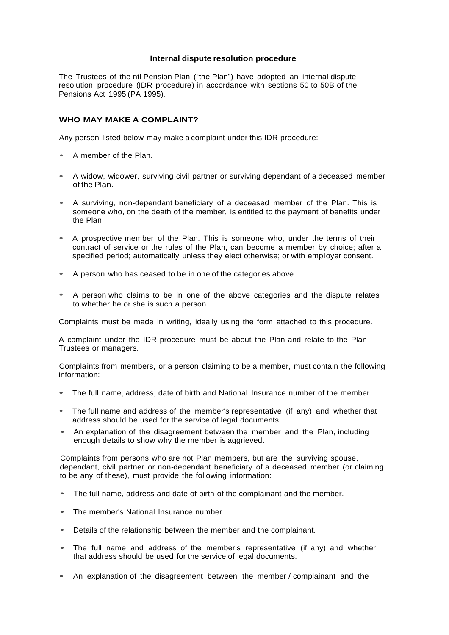#### **Internal dispute resolution procedure**

The Trustees of the ntl Pension Plan ("the Plan") have adopted an internal dispute resolution procedure (IDR procedure) in accordance with sections 50 to 50B of the Pensions Act 1995 (PA 1995).

## **WHO MAY MAKE A COMPLAINT?**

Any person listed below may make a complaint under this IDR procedure:

- <sup>A</sup> member of the Plan.
- <sup>A</sup> widow, widower, surviving civil partner or surviving dependant of <sup>a</sup> deceased member of the Plan.
- <sup>A</sup> surviving, non-dependant beneficiary of <sup>a</sup> deceased member of the Plan. This is someone who, on the death of the member, is entitled to the payment of benefits under the Plan.
- <sup>A</sup> prospective member of the Plan. This is someone who, under the terms of their contract of service or the rules of the Plan, can become a member by choice; after a specified period; automatically unless they elect otherwise; or with employer consent.
- <sup>A</sup> person who has ceased to be in one of the categories above.
- <sup>A</sup> person who claims to be in one of the above categories and the dispute relates to whether he or she is such a person.

Complaints must be made in writing, ideally using the form attached to this procedure.

A complaint under the IDR procedure must be about the Plan and relate to the Plan Trustees or managers.

Complaints from members, or a person claiming to be a member, must contain the following information:

- The full name, address, date of birth and National Insurance number of the member.
- The full name and address of the member's representative (if any) and whether that address should be used for the service of legal documents.
- An explanation of the disagreement between the member and the Plan, including enough details to show why the member is aggrieved.

Complaints from persons who are not Plan members, but are the surviving spouse, dependant, civil partner or non-dependant beneficiary of a deceased member (or claiming to be any of these), must provide the following information:

- The full name, address and date of birth of the complainant and the member.
- The member's National Insurance number.
- Details of the relationship between the member and the complainant.
- The full name and address of the member's representative (if any) and whether that address should be used for the service of legal documents.
- An explanation of the disagreement between the member / complainant and the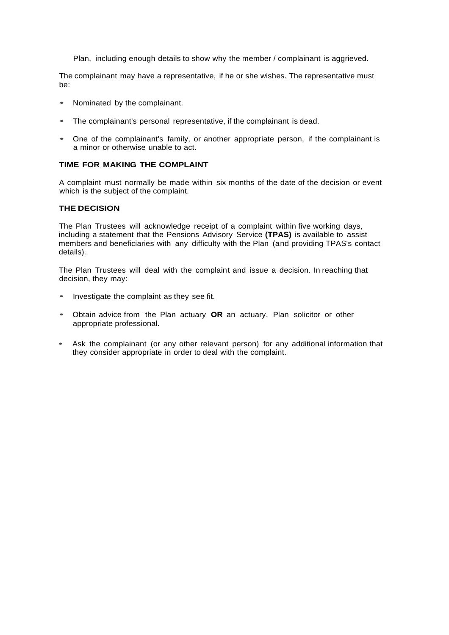Plan, including enough details to show why the member / complainant is aggrieved.

The complainant may have a representative, if he or she wishes. The representative must be:

- Nominated by the complainant.
- The complainant's personal representative, if the complainant is dead.
- One of the complainant's family, or another appropriate person, if the complainant is a minor or otherwise unable to act.

# **TIME FOR MAKING THE COMPLAINT**

A complaint must normally be made within six months of the date of the decision or event which is the subject of the complaint.

## **THE DECISION**

The Plan Trustees will acknowledge receipt of a complaint within five working days, including a statement that the Pensions Advisory Service **(TPAS)** is available to assist members and beneficiaries with any difficulty with the Plan (and providing TPAS's contact details).

The Plan Trustees will deal with the complaint and issue a decision. In reaching that decision, they may:

- Investigate the complaint as they see fit.
- Obtain advice from the Plan actuary **OR** an actuary, Plan solicitor or other appropriate professional.
- Ask the complainant (or any other relevant person) for any additional information that they consider appropriate in order to deal with the complaint.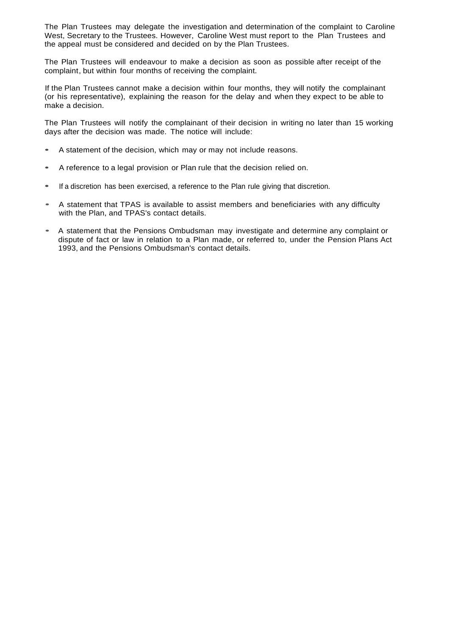The Plan Trustees may delegate the investigation and determination of the complaint to Caroline West, Secretary to the Trustees. However, Caroline West must report to the Plan Trustees and the appeal must be considered and decided on by the Plan Trustees.

The Plan Trustees will endeavour to make a decision as soon as possible after receipt of the complaint, but within four months of receiving the complaint.

If the Plan Trustees cannot make a decision within four months, they will notify the complainant (or his representative), explaining the reason for the delay and when they expect to be able to make a decision.

The Plan Trustees will notify the complainant of their decision in writing no later than 15 working days after the decision was made. The notice will include:

- <sup>A</sup> statement of the decision, which may or may not include reasons.
- <sup>A</sup> reference to <sup>a</sup> legal provision or Plan rule that the decision relied on.
- If <sup>a</sup> discretion has been exercised, <sup>a</sup> reference to the Plan rule giving that discretion.
- <sup>A</sup> statement that TPAS is available to assist members and beneficiaries with any difficulty with the Plan, and TPAS's contact details.
- <sup>A</sup> statement that the Pensions Ombudsman may investigate and determine any complaint or dispute of fact or law in relation to a Plan made, or referred to, under the Pension Plans Act 1993, and the Pensions Ombudsman's contact details.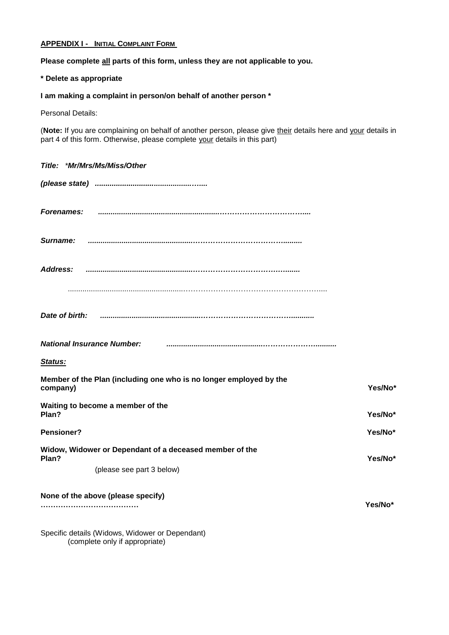# **APPENDIX I - INITIAL COMPLAINT FORM**

# **Please complete all parts of this form, unless they are not applicable to you.**

## **\* Delete as appropriate**

# **I am making a complaint in person/on behalf of another person \***

Personal Details:

(**Note:** If you are complaining on behalf of another person, please give their details here and your details in part 4 of this form. Otherwise, please complete your details in this part)

| Title: *Mr/Mrs/Ms/Miss/Other                                                                                                                         |         |
|------------------------------------------------------------------------------------------------------------------------------------------------------|---------|
|                                                                                                                                                      |         |
| <b>Forenames:</b>                                                                                                                                    |         |
| Surname:                                                                                                                                             |         |
| Address:                                                                                                                                             |         |
|                                                                                                                                                      |         |
|                                                                                                                                                      |         |
| <b>National Insurance Number:</b>                                                                                                                    |         |
| <b>Status:</b>                                                                                                                                       |         |
| Member of the Plan (including one who is no longer employed by the<br>company)                                                                       | Yes/No* |
| Waiting to become a member of the<br>Plan?                                                                                                           | Yes/No* |
| <b>Pensioner?</b>                                                                                                                                    | Yes/No* |
| Widow, Widower or Dependant of a deceased member of the<br>Plan?                                                                                     | Yes/No* |
| (please see part 3 below)                                                                                                                            |         |
| None of the above (please specify)                                                                                                                   | Yes/No* |
| $\bigcap_{i=1}^n A_i$ is the state of the state of $\bigcap_{i=1}^n A_i$ is the state of $\bigcap_{i=1}^n A_i$ is the state of $\bigcap_{i=1}^n A_i$ |         |

Specific details (Widows, Widower or Dependant) (complete only if appropriate)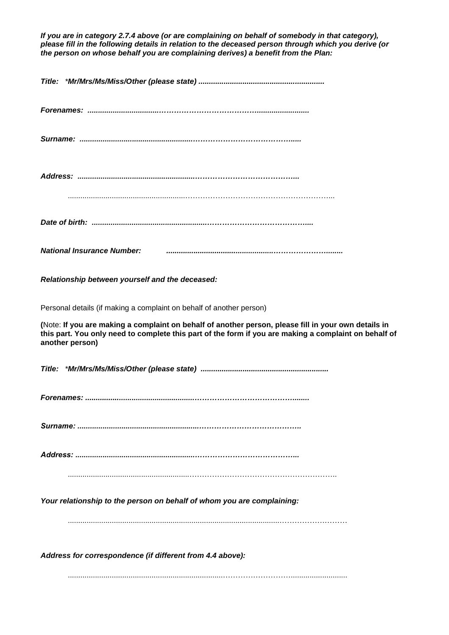*If you are in category 2.7.4 above (or are complaining on behalf of somebody in that category), please fill in the following details in relation to the deceased person through which you derive (or the person on whose behalf you are complaining derives) a benefit from the Plan:*

| <b>National Insurance Number:</b>                                                                                                                                                                                                |
|----------------------------------------------------------------------------------------------------------------------------------------------------------------------------------------------------------------------------------|
| Relationship between yourself and the deceased:                                                                                                                                                                                  |
| Personal details (if making a complaint on behalf of another person)                                                                                                                                                             |
| (Note: If you are making a complaint on behalf of another person, please fill in your own details in<br>this part. You only need to complete this part of the form if you are making a complaint on behalf of<br>another person) |
|                                                                                                                                                                                                                                  |
|                                                                                                                                                                                                                                  |
|                                                                                                                                                                                                                                  |
|                                                                                                                                                                                                                                  |
| Your relationship to the person on behalf of whom you are complaining:                                                                                                                                                           |
|                                                                                                                                                                                                                                  |
| Address for correspondence (if different from 4.4 above):                                                                                                                                                                        |